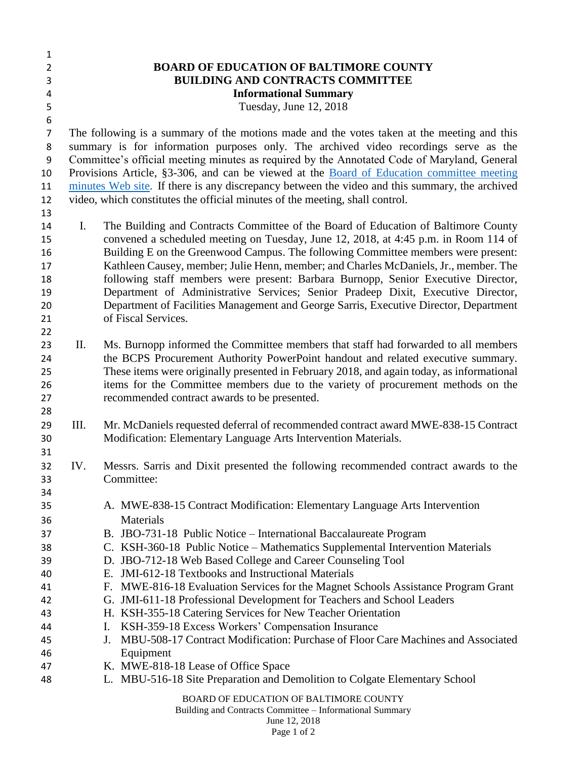| $\mathbf{1}$     |                                                                              |                                                                                                                                                                           |  |
|------------------|------------------------------------------------------------------------------|---------------------------------------------------------------------------------------------------------------------------------------------------------------------------|--|
| $\overline{2}$   |                                                                              | <b>BOARD OF EDUCATION OF BALTIMORE COUNTY</b>                                                                                                                             |  |
| 3                | <b>BUILDING AND CONTRACTS COMMITTEE</b>                                      |                                                                                                                                                                           |  |
| 4                |                                                                              | <b>Informational Summary</b>                                                                                                                                              |  |
| 5                |                                                                              | Tuesday, June 12, 2018                                                                                                                                                    |  |
| $\boldsymbol{6}$ |                                                                              |                                                                                                                                                                           |  |
| $\overline{7}$   |                                                                              | The following is a summary of the motions made and the votes taken at the meeting and this                                                                                |  |
| 8                |                                                                              | summary is for information purposes only. The archived video recordings serve as the                                                                                      |  |
| $\boldsymbol{9}$ |                                                                              | Committee's official meeting minutes as required by the Annotated Code of Maryland, General                                                                               |  |
| 10               |                                                                              | Provisions Article, §3-306, and can be viewed at the <b>Board of Education committee meeting</b>                                                                          |  |
| 11               |                                                                              | minutes Web site. If there is any discrepancy between the video and this summary, the archived                                                                            |  |
| 12               | video, which constitutes the official minutes of the meeting, shall control. |                                                                                                                                                                           |  |
| 13               |                                                                              |                                                                                                                                                                           |  |
|                  | Ι.                                                                           | The Building and Contracts Committee of the Board of Education of Baltimore County                                                                                        |  |
| 14               |                                                                              | convened a scheduled meeting on Tuesday, June 12, 2018, at 4:45 p.m. in Room 114 of                                                                                       |  |
| 15               |                                                                              |                                                                                                                                                                           |  |
| 16               |                                                                              | Building E on the Greenwood Campus. The following Committee members were present:<br>Kathleen Causey, member; Julie Henn, member; and Charles McDaniels, Jr., member. The |  |
| 17               |                                                                              | following staff members were present: Barbara Burnopp, Senior Executive Director,                                                                                         |  |
| 18               |                                                                              |                                                                                                                                                                           |  |
| 19               |                                                                              | Department of Administrative Services; Senior Pradeep Dixit, Executive Director,                                                                                          |  |
| 20               |                                                                              | Department of Facilities Management and George Sarris, Executive Director, Department<br>of Fiscal Services.                                                              |  |
| 21               |                                                                              |                                                                                                                                                                           |  |
| 22               | П.                                                                           |                                                                                                                                                                           |  |
| 23               |                                                                              | Ms. Burnopp informed the Committee members that staff had forwarded to all members                                                                                        |  |
| 24               |                                                                              | the BCPS Procurement Authority PowerPoint handout and related executive summary.                                                                                          |  |
| 25               |                                                                              | These items were originally presented in February 2018, and again today, as informational                                                                                 |  |
| 26<br>27         |                                                                              | items for the Committee members due to the variety of procurement methods on the                                                                                          |  |
| 28               |                                                                              | recommended contract awards to be presented.                                                                                                                              |  |
|                  | III.                                                                         |                                                                                                                                                                           |  |
| 29               |                                                                              | Mr. McDaniels requested deferral of recommended contract award MWE-838-15 Contract<br>Modification: Elementary Language Arts Intervention Materials.                      |  |
| 30<br>31         |                                                                              |                                                                                                                                                                           |  |
|                  | IV.                                                                          |                                                                                                                                                                           |  |
| 32               |                                                                              | Messrs. Sarris and Dixit presented the following recommended contract awards to the                                                                                       |  |
| 33               |                                                                              | Committee:                                                                                                                                                                |  |
| 34               |                                                                              |                                                                                                                                                                           |  |
| 35               |                                                                              | A. MWE-838-15 Contract Modification: Elementary Language Arts Intervention<br>Materials                                                                                   |  |
| 36               |                                                                              |                                                                                                                                                                           |  |
| 37               |                                                                              | B. JBO-731-18 Public Notice - International Baccalaureate Program                                                                                                         |  |
| 38               |                                                                              | C. KSH-360-18 Public Notice – Mathematics Supplemental Intervention Materials                                                                                             |  |
| 39               |                                                                              | D. JBO-712-18 Web Based College and Career Counseling Tool                                                                                                                |  |
| 40               |                                                                              | E. JMI-612-18 Textbooks and Instructional Materials                                                                                                                       |  |
| 41               |                                                                              | F. MWE-816-18 Evaluation Services for the Magnet Schools Assistance Program Grant                                                                                         |  |
| 42               |                                                                              | G. JMI-611-18 Professional Development for Teachers and School Leaders                                                                                                    |  |
| 43               |                                                                              | H. KSH-355-18 Catering Services for New Teacher Orientation                                                                                                               |  |
| 44               |                                                                              | KSH-359-18 Excess Workers' Compensation Insurance<br>Ι.                                                                                                                   |  |
| 45               |                                                                              | MBU-508-17 Contract Modification: Purchase of Floor Care Machines and Associated<br>J.                                                                                    |  |
| 46               |                                                                              | Equipment                                                                                                                                                                 |  |
| 47               |                                                                              | K. MWE-818-18 Lease of Office Space                                                                                                                                       |  |
| 48               |                                                                              | L. MBU-516-18 Site Preparation and Demolition to Colgate Elementary School                                                                                                |  |
|                  |                                                                              | BOARD OF EDUCATION OF BALTIMORE COUNTY<br>Building and Contracts Committee - Informational Summary                                                                        |  |

June 12, 2018